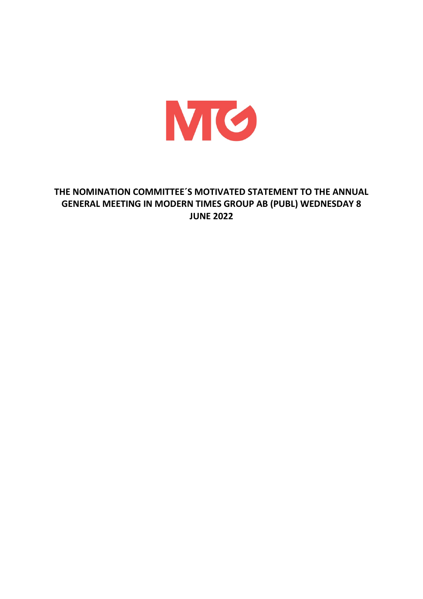

# **THE NOMINATION COMMITTEE´S MOTIVATED STATEMENT TO THE ANNUAL GENERAL MEETING IN MODERN TIMES GROUP AB (PUBL) WEDNESDAY 8 JUNE 2022**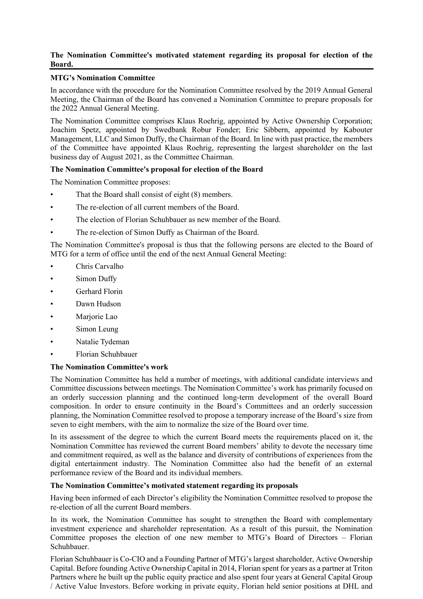# **The Nomination Committee's motivated statement regarding its proposal for election of the Board.**

# **MTG's Nomination Committee**

In accordance with the procedure for the Nomination Committee resolved by the 2019 Annual General Meeting, the Chairman of the Board has convened a Nomination Committee to prepare proposals for the 2022 Annual General Meeting.

The Nomination Committee comprises Klaus Roehrig, appointed by Active Ownership Corporation; Joachim Spetz, appointed by Swedbank Robur Fonder; Eric Sibbern, appointed by Kabouter Management, LLC and Simon Duffy, the Chairman of the Board. In line with past practice, the members of the Committee have appointed Klaus Roehrig, representing the largest shareholder on the last business day of August 2021, as the Committee Chairman.

# **The Nomination Committee's proposal for election of the Board**

The Nomination Committee proposes:

- That the Board shall consist of eight (8) members.
- The re-election of all current members of the Board.
- The election of Florian Schuhbauer as new member of the Board.
- The re-election of Simon Duffy as Chairman of the Board.

The Nomination Committee's proposal is thus that the following persons are elected to the Board of MTG for a term of office until the end of the next Annual General Meeting:

- Chris Carvalho
- Simon Duffy
- Gerhard Florin
- Dawn Hudson
- Marjorie Lao
- Simon Leung
- Natalie Tydeman
- Florian Schuhbauer

# **The Nomination Committee's work**

The Nomination Committee has held a number of meetings, with additional candidate interviews and Committee discussions between meetings. The Nomination Committee's work has primarily focused on an orderly succession planning and the continued long-term development of the overall Board composition. In order to ensure continuity in the Board's Committees and an orderly succession planning, the Nomination Committee resolved to propose a temporary increase of the Board's size from seven to eight members, with the aim to normalize the size of the Board over time.

In its assessment of the degree to which the current Board meets the requirements placed on it, the Nomination Committee has reviewed the current Board members' ability to devote the necessary time and commitment required, as well as the balance and diversity of contributions of experiences from the digital entertainment industry. The Nomination Committee also had the benefit of an external performance review of the Board and its individual members.

# **The Nomination Committee's motivated statement regarding its proposals**

Having been informed of each Director's eligibility the Nomination Committee resolved to propose the re-election of all the current Board members.

In its work, the Nomination Committee has sought to strengthen the Board with complementary investment experience and shareholder representation. As a result of this pursuit, the Nomination Committee proposes the election of one new member to MTG's Board of Directors – Florian Schuhbauer.

Florian Schuhbauer is Co-CIO and a Founding Partner of MTG's largest shareholder, Active Ownership Capital. Before founding Active Ownership Capital in 2014, Florian spent for years as a partner at Triton Partners where he built up the public equity practice and also spent four years at General Capital Group / Active Value Investors. Before working in private equity, Florian held senior positions at DHL and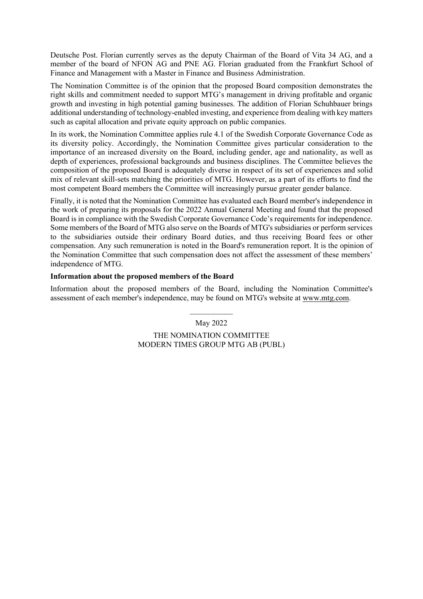Deutsche Post. Florian currently serves as the deputy Chairman of the Board of Vita 34 AG, and a member of the board of NFON AG and PNE AG. Florian graduated from the Frankfurt School of Finance and Management with a Master in Finance and Business Administration.

The Nomination Committee is of the opinion that the proposed Board composition demonstrates the right skills and commitment needed to support MTG's management in driving profitable and organic growth and investing in high potential gaming businesses. The addition of Florian Schuhbauer brings additional understanding of technology-enabled investing, and experience from dealing with key matters such as capital allocation and private equity approach on public companies.

In its work, the Nomination Committee applies rule 4.1 of the Swedish Corporate Governance Code as its diversity policy. Accordingly, the Nomination Committee gives particular consideration to the importance of an increased diversity on the Board, including gender, age and nationality, as well as depth of experiences, professional backgrounds and business disciplines. The Committee believes the composition of the proposed Board is adequately diverse in respect of its set of experiences and solid mix of relevant skill-sets matching the priorities of MTG. However, as a part of its efforts to find the most competent Board members the Committee will increasingly pursue greater gender balance.

Finally, it is noted that the Nomination Committee has evaluated each Board member's independence in the work of preparing its proposals for the 2022 Annual General Meeting and found that the proposed Board is in compliance with the Swedish Corporate Governance Code's requirements for independence. Some members of the Board of MTG also serve on the Boards of MTG's subsidiaries or perform services to the subsidiaries outside their ordinary Board duties, and thus receiving Board fees or other compensation. Any such remuneration is noted in the Board's remuneration report. It is the opinion of the Nomination Committee that such compensation does not affect the assessment of these members' independence of MTG.

# **Information about the proposed members of the Board**

Information about the proposed members of the Board, including the Nomination Committee's assessment of each member's independence, may be found on MTG's website at www.mtg.com.

> $\frac{1}{2}$ May 2022

THE NOMINATION COMMITTEE MODERN TIMES GROUP MTG AB (PUBL)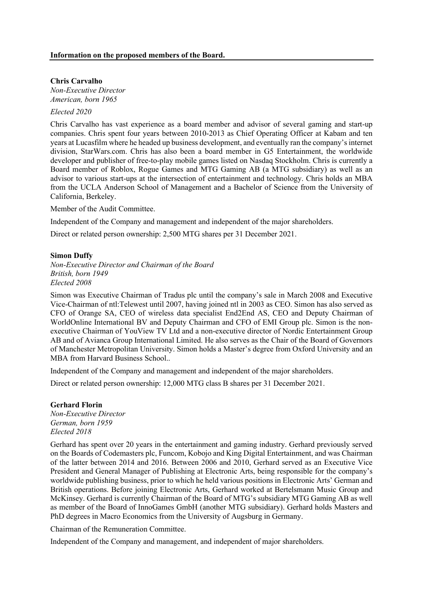#### **Chris Carvalho**

*Non-Executive Director American, born 1965*

# *Elected 2020*

Chris Carvalho has vast experience as a board member and advisor of several gaming and start-up companies. Chris spent four years between 2010-2013 as Chief Operating Officer at Kabam and ten years at Lucasfilm where he headed up business development, and eventually ran the company's internet division, StarWars.com. Chris has also been a board member in G5 Entertainment, the worldwide developer and publisher of free-to-play mobile games listed on Nasdaq Stockholm. Chris is currently a Board member of Roblox, Rogue Games and MTG Gaming AB (a MTG subsidiary) as well as an advisor to various start-ups at the intersection of entertainment and technology. Chris holds an MBA from the UCLA Anderson School of Management and a Bachelor of Science from the University of California, Berkeley.

Member of the Audit Committee.

Independent of the Company and management and independent of the major shareholders.

Direct or related person ownership: 2,500 MTG shares per 31 December 2021.

#### **Simon Duffy**

*Non-Executive Director and Chairman of the Board British, born 1949 Elected 2008*

Simon was Executive Chairman of Tradus plc until the company's sale in March 2008 and Executive Vice-Chairman of ntl:Telewest until 2007, having joined ntl in 2003 as CEO. Simon has also served as CFO of Orange SA, CEO of wireless data specialist End2End AS, CEO and Deputy Chairman of WorldOnline International BV and Deputy Chairman and CFO of EMI Group plc. Simon is the nonexecutive Chairman of YouView TV Ltd and a non-executive director of Nordic Entertainment Group AB and of Avianca Group International Limited. He also serves as the Chair of the Board of Governors of Manchester Metropolitan University. Simon holds a Master's degree from Oxford University and an MBA from Harvard Business School..

Independent of the Company and management and independent of the major shareholders.

Direct or related person ownership: 12,000 MTG class B shares per 31 December 2021.

# **Gerhard Florin**

*Non-Executive Director German, born 1959 Elected 2018*

Gerhard has spent over 20 years in the entertainment and gaming industry. Gerhard previously served on the Boards of Codemasters plc, Funcom, Kobojo and King Digital Entertainment, and was Chairman of the latter between 2014 and 2016. Between 2006 and 2010, Gerhard served as an Executive Vice President and General Manager of Publishing at Electronic Arts, being responsible for the company's worldwide publishing business, prior to which he held various positions in Electronic Arts' German and British operations. Before joining Electronic Arts, Gerhard worked at Bertelsmann Music Group and McKinsey. Gerhard is currently Chairman of the Board of MTG's subsidiary MTG Gaming AB as well as member of the Board of InnoGames GmbH (another MTG subsidiary). Gerhard holds Masters and PhD degrees in Macro Economics from the University of Augsburg in Germany.

Chairman of the Remuneration Committee.

Independent of the Company and management, and independent of major shareholders.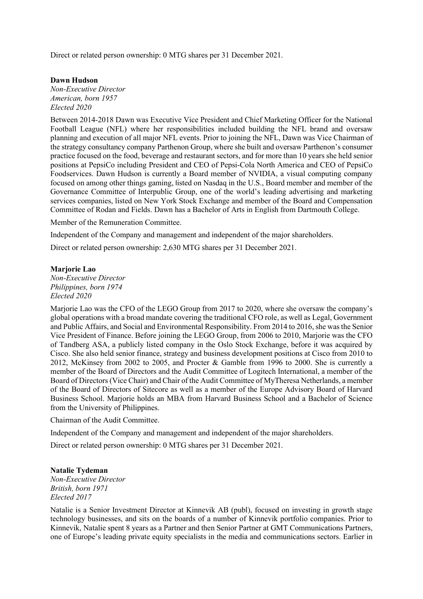Direct or related person ownership: 0 MTG shares per 31 December 2021.

**Dawn Hudson** *Non-Executive Director*

*American, born 1957 Elected 2020*

Between 2014-2018 Dawn was Executive Vice President and Chief Marketing Officer for the National Football League (NFL) where her responsibilities included building the NFL brand and oversaw planning and execution of all major NFL events. Prior to joining the NFL, Dawn was Vice Chairman of the strategy consultancy company Parthenon Group, where she built and oversaw Parthenon's consumer practice focused on the food, beverage and restaurant sectors, and for more than 10 years she held senior positions at PepsiCo including President and CEO of Pepsi-Cola North America and CEO of PepsiCo Foodservices. Dawn Hudson is currently a Board member of NVIDIA, a visual computing company focused on among other things gaming, listed on Nasdaq in the U.S., Board member and member of the Governance Committee of Interpublic Group, one of the world's leading advertising and marketing services companies, listed on New York Stock Exchange and member of the Board and Compensation Committee of Rodan and Fields. Dawn has a Bachelor of Arts in English from Dartmouth College.

Member of the Remuneration Committee.

Independent of the Company and management and independent of the major shareholders.

Direct or related person ownership: 2,630 MTG shares per 31 December 2021.

#### **Marjorie Lao**

*Non-Executive Director Philippines, born 1974 Elected 2020*

Marjorie Lao was the CFO of the LEGO Group from 2017 to 2020, where she oversaw the company's global operations with a broad mandate covering the traditional CFO role, as well as Legal, Government and Public Affairs, and Social and Environmental Responsibility. From 2014 to 2016, she was the Senior Vice President of Finance. Before joining the LEGO Group, from 2006 to 2010, Marjorie was the CFO of Tandberg ASA, a publicly listed company in the Oslo Stock Exchange, before it was acquired by Cisco. She also held senior finance, strategy and business development positions at Cisco from 2010 to 2012, McKinsey from 2002 to 2005, and Procter & Gamble from 1996 to 2000. She is currently a member of the Board of Directors and the Audit Committee of Logitech International, a member of the Board of Directors (Vice Chair) and Chair of the Audit Committee of MyTheresa Netherlands, a member of the Board of Directors of Sitecore as well as a member of the Europe Advisory Board of Harvard Business School. Marjorie holds an MBA from Harvard Business School and a Bachelor of Science from the University of Philippines.

Chairman of the Audit Committee.

Independent of the Company and management and independent of the major shareholders.

Direct or related person ownership: 0 MTG shares per 31 December 2021.

#### **Natalie Tydeman**

*Non-Executive Director British, born 1971 Elected 2017*

Natalie is a Senior Investment Director at Kinnevik AB (publ), focused on investing in growth stage technology businesses, and sits on the boards of a number of Kinnevik portfolio companies. Prior to Kinnevik, Natalie spent 8 years as a Partner and then Senior Partner at GMT Communications Partners, one of Europe's leading private equity specialists in the media and communications sectors. Earlier in